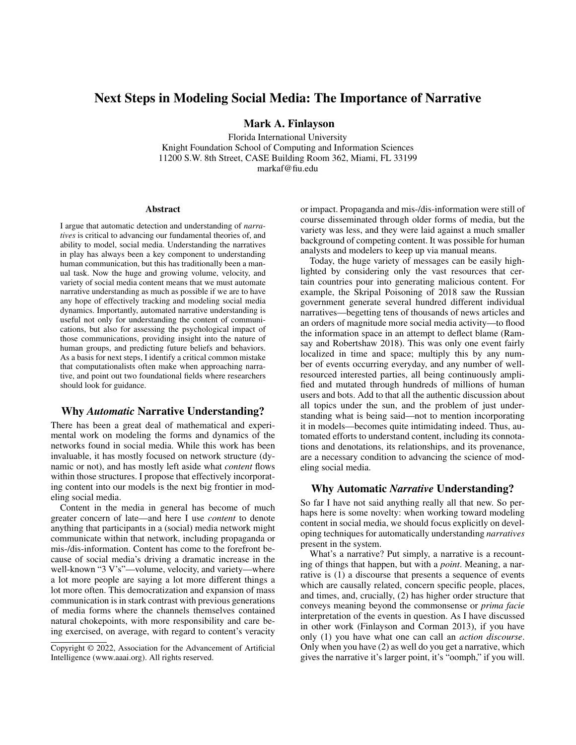# Next Steps in Modeling Social Media: The Importance of Narrative

Mark A. Finlayson

Florida International University Knight Foundation School of Computing and Information Sciences 11200 S.W. 8th Street, CASE Building Room 362, Miami, FL 33199 markaf@fiu.edu

#### Abstract

I argue that automatic detection and understanding of *narratives* is critical to advancing our fundamental theories of, and ability to model, social media. Understanding the narratives in play has always been a key component to understanding human communication, but this has traditionally been a manual task. Now the huge and growing volume, velocity, and variety of social media content means that we must automate narrative understanding as much as possible if we are to have any hope of effectively tracking and modeling social media dynamics. Importantly, automated narrative understanding is useful not only for understanding the content of communications, but also for assessing the psychological impact of those communications, providing insight into the nature of human groups, and predicting future beliefs and behaviors. As a basis for next steps, I identify a critical common mistake that computationalists often make when approaching narrative, and point out two foundational fields where researchers should look for guidance.

## Why *Automatic* Narrative Understanding?

There has been a great deal of mathematical and experimental work on modeling the forms and dynamics of the networks found in social media. While this work has been invaluable, it has mostly focused on network structure (dynamic or not), and has mostly left aside what *content* flows within those structures. I propose that effectively incorporating content into our models is the next big frontier in modeling social media.

Content in the media in general has become of much greater concern of late—and here I use *content* to denote anything that participants in a (social) media network might communicate within that network, including propaganda or mis-/dis-information. Content has come to the forefront because of social media's driving a dramatic increase in the well-known "3 V's"—volume, velocity, and variety—where a lot more people are saying a lot more different things a lot more often. This democratization and expansion of mass communication is in stark contrast with previous generations of media forms where the channels themselves contained natural chokepoints, with more responsibility and care being exercised, on average, with regard to content's veracity

or impact. Propaganda and mis-/dis-information were still of course disseminated through older forms of media, but the variety was less, and they were laid against a much smaller background of competing content. It was possible for human analysts and modelers to keep up via manual means.

Today, the huge variety of messages can be easily highlighted by considering only the vast resources that certain countries pour into generating malicious content. For example, the Skripal Poisoning of 2018 saw the Russian government generate several hundred different individual narratives—begetting tens of thousands of news articles and an orders of magnitude more social media activity—to flood the information space in an attempt to deflect blame (Ramsay and Robertshaw 2018). This was only one event fairly localized in time and space; multiply this by any number of events occurring everyday, and any number of wellresourced interested parties, all being continuously amplified and mutated through hundreds of millions of human users and bots. Add to that all the authentic discussion about all topics under the sun, and the problem of just understanding what is being said—not to mention incorporating it in models—becomes quite intimidating indeed. Thus, automated efforts to understand content, including its connotations and denotations, its relationships, and its provenance, are a necessary condition to advancing the science of modeling social media.

### Why Automatic *Narrative* Understanding?

So far I have not said anything really all that new. So perhaps here is some novelty: when working toward modeling content in social media, we should focus explicitly on developing techniques for automatically understanding *narratives* present in the system.

What's a narrative? Put simply, a narrative is a recounting of things that happen, but with a *point*. Meaning, a narrative is (1) a discourse that presents a sequence of events which are causally related, concern specific people, places, and times, and, crucially, (2) has higher order structure that conveys meaning beyond the commonsense or *prima facie* interpretation of the events in question. As I have discussed in other work (Finlayson and Corman 2013), if you have only (1) you have what one can call an *action discourse*. Only when you have (2) as well do you get a narrative, which gives the narrative it's larger point, it's "oomph," if you will.

Copyright © 2022, Association for the Advancement of Artificial Intelligence (www.aaai.org). All rights reserved.